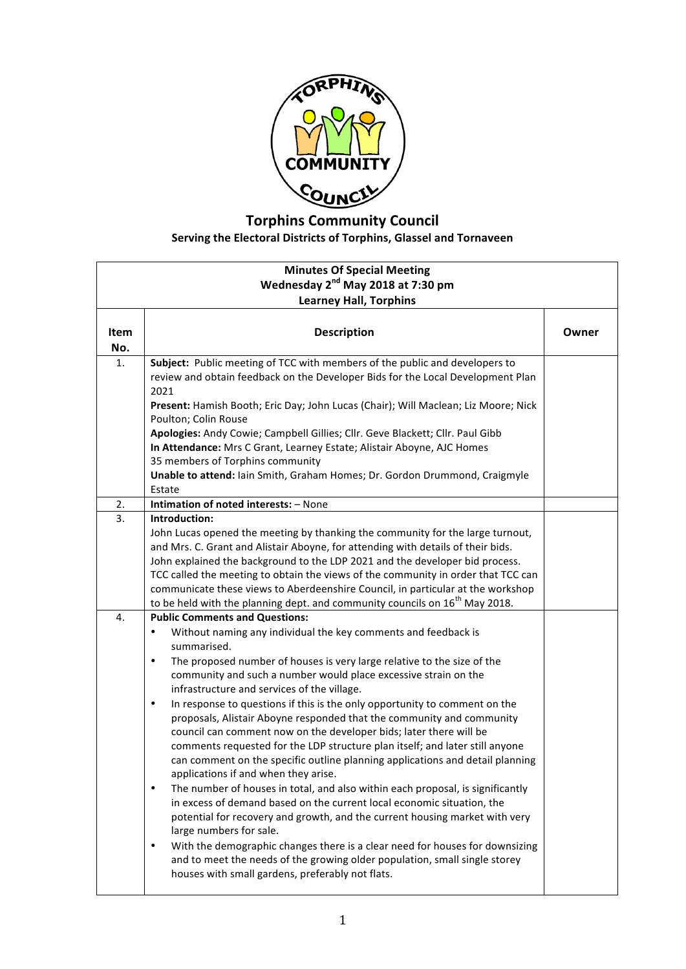

## **Torphins Community Council** Serving the Electoral Districts of Torphins, Glassel and Tornaveen

| <b>Minutes Of Special Meeting</b><br>Wednesday 2 <sup>nd</sup> May 2018 at 7:30 pm<br><b>Learney Hall, Torphins</b> |                                                                                                                                                                                                                                                                                                                                                                                                                                                                                                                                                                                                                                                                                                                                                                                                                                                                                                                                                                                                                                                                                                                                                                                                                                                                                                                    |       |
|---------------------------------------------------------------------------------------------------------------------|--------------------------------------------------------------------------------------------------------------------------------------------------------------------------------------------------------------------------------------------------------------------------------------------------------------------------------------------------------------------------------------------------------------------------------------------------------------------------------------------------------------------------------------------------------------------------------------------------------------------------------------------------------------------------------------------------------------------------------------------------------------------------------------------------------------------------------------------------------------------------------------------------------------------------------------------------------------------------------------------------------------------------------------------------------------------------------------------------------------------------------------------------------------------------------------------------------------------------------------------------------------------------------------------------------------------|-------|
| <b>Item</b><br>No.                                                                                                  | <b>Description</b>                                                                                                                                                                                                                                                                                                                                                                                                                                                                                                                                                                                                                                                                                                                                                                                                                                                                                                                                                                                                                                                                                                                                                                                                                                                                                                 | Owner |
| 1.                                                                                                                  | Subject: Public meeting of TCC with members of the public and developers to<br>review and obtain feedback on the Developer Bids for the Local Development Plan<br>2021<br>Present: Hamish Booth; Eric Day; John Lucas (Chair); Will Maclean; Liz Moore; Nick<br>Poulton; Colin Rouse<br>Apologies: Andy Cowie; Campbell Gillies; Cllr. Geve Blackett; Cllr. Paul Gibb<br>In Attendance: Mrs C Grant, Learney Estate; Alistair Aboyne, AJC Homes<br>35 members of Torphins community<br>Unable to attend: Iain Smith, Graham Homes; Dr. Gordon Drummond, Craigmyle<br>Estate                                                                                                                                                                                                                                                                                                                                                                                                                                                                                                                                                                                                                                                                                                                                        |       |
| 2.                                                                                                                  | Intimation of noted interests: - None                                                                                                                                                                                                                                                                                                                                                                                                                                                                                                                                                                                                                                                                                                                                                                                                                                                                                                                                                                                                                                                                                                                                                                                                                                                                              |       |
| 3.                                                                                                                  | Introduction:<br>John Lucas opened the meeting by thanking the community for the large turnout,<br>and Mrs. C. Grant and Alistair Aboyne, for attending with details of their bids.<br>John explained the background to the LDP 2021 and the developer bid process.<br>TCC called the meeting to obtain the views of the community in order that TCC can<br>communicate these views to Aberdeenshire Council, in particular at the workshop<br>to be held with the planning dept. and community councils on 16 <sup>th</sup> May 2018.                                                                                                                                                                                                                                                                                                                                                                                                                                                                                                                                                                                                                                                                                                                                                                             |       |
| 4.                                                                                                                  | <b>Public Comments and Questions:</b><br>Without naming any individual the key comments and feedback is<br>$\bullet$<br>summarised.<br>The proposed number of houses is very large relative to the size of the<br>$\bullet$<br>community and such a number would place excessive strain on the<br>infrastructure and services of the village.<br>In response to questions if this is the only opportunity to comment on the<br>$\bullet$<br>proposals, Alistair Aboyne responded that the community and community<br>council can comment now on the developer bids; later there will be<br>comments requested for the LDP structure plan itself; and later still anyone<br>can comment on the specific outline planning applications and detail planning<br>applications if and when they arise.<br>The number of houses in total, and also within each proposal, is significantly<br>$\bullet$<br>in excess of demand based on the current local economic situation, the<br>potential for recovery and growth, and the current housing market with very<br>large numbers for sale.<br>With the demographic changes there is a clear need for houses for downsizing<br>$\bullet$<br>and to meet the needs of the growing older population, small single storey<br>houses with small gardens, preferably not flats. |       |